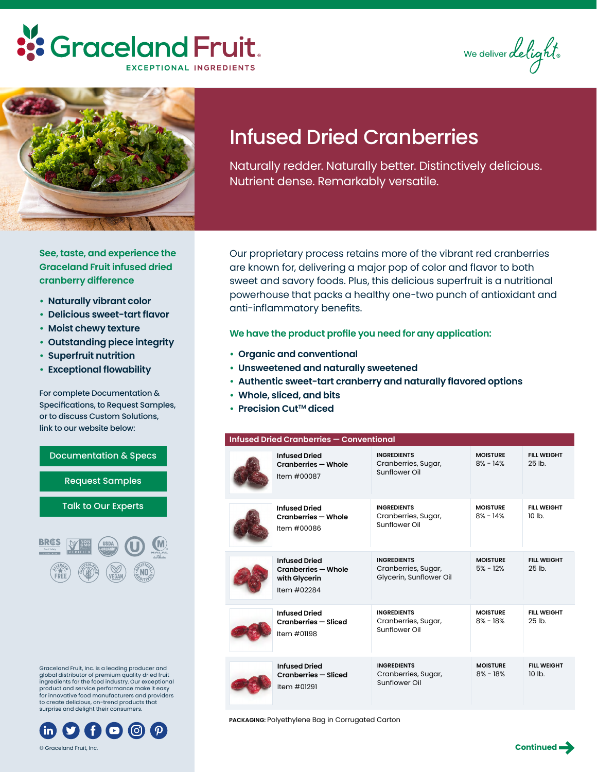### **::** Graceland Fruit. **EXCEPTIONAL INGREDIENTS**

We deliver delight



## Infused Dried Cranberries

Naturally redder. Naturally better. Distinctively delicious. Nutrient dense. Remarkably versatile.

**See, taste, and experience the Graceland Fruit infused dried cranberry difference**

- **• Naturally vibrant color**
- **• Delicious sweet-tart flavor**
- **• Moist chewy texture**
- **• Outstanding piece integrity**
- **• Superfruit nutrition**
- **• Exceptional flowability**

For complete Documentation & Specifications, to Request Samples, or to discuss Custom Solutions, link to our website below:



Graceland Fruit, Inc. is a leading producer and global distributor of premium quality dried fruit ingredients for the food industry. Our exceptional product and service performance make it easy for innovative food manufacturers and providers to create delicious, on-trend products that surprise and delight their consumers.



© Graceland Fruit, Inc.

Our proprietary process retains more of the vibrant red cranberries are known for, delivering a major pop of color and flavor to both sweet and savory foods. Plus, this delicious superfruit is a nutritional powerhouse that packs a healthy one-two punch of antioxidant and anti-inflammatory benefits.

**We have the product profile you need for any application:**

- **• Organic and conventional**
- **• Unsweetened and naturally sweetened**
- **• Authentic sweet-tart cranberry and naturally flavored options**
- **• Whole, sliced, and bits**
- **•** Precision Cut™ diced

#### **Infused Dried Cranberries — Conventional**

| <b>Infused Dried</b><br><b>Cranberries - Whole</b><br>Item #00087           | <b>INGREDIENTS</b><br>Cranberries, Sugar,<br>Sunflower Oil           | <b>MOISTURE</b><br>$8\% - 14\%$ | <b>FIII WFIGHT</b><br>25 <sub>th</sub> |
|-----------------------------------------------------------------------------|----------------------------------------------------------------------|---------------------------------|----------------------------------------|
| <b>Infused Dried</b><br>Cranberries - Whole<br>Item #00086                  | <b>INGREDIENTS</b><br>Cranberries, Sugar,<br>Sunflower Oil           | <b>MOISTURE</b><br>$8\% - 14\%$ | <b>FILL WEIGHT</b><br>10 <sub>1b</sub> |
| <b>Infused Dried</b><br>Cranberries - Whole<br>with Glycerin<br>Item #02284 | <b>INGREDIENTS</b><br>Cranberries, Sugar,<br>Glycerin, Sunflower Oil | <b>MOISTURE</b><br>$5% - 12%$   | <b>FILL WEIGHT</b><br>25 <sub>th</sub> |
| <b>Infused Dried</b><br>Cranberries - Sliced<br>Item #01198                 | <b>INGREDIENTS</b><br>Cranberries, Sugar,<br>Sunflower Oil           | <b>MOISTURE</b><br>$8\% - 18\%$ | <b>FILL WEIGHT</b><br>25 lb.           |
| <b>Infused Dried</b><br>Cranberries - Sliced<br>Item #01291                 | <b>INGREDIENTS</b><br>Cranberries, Sugar,<br>Sunflower Oil           | <b>MOISTURE</b><br>$8\% - 18\%$ | <b>FILL WEIGHT</b><br>10 <sub>h</sub>  |

**PACKAGING:** Polyethylene Bag in Corrugated Carton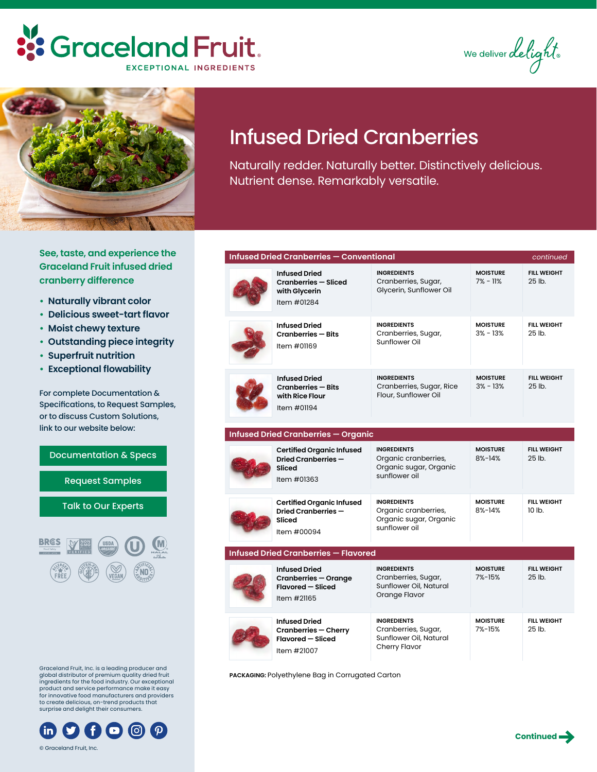### **::** Graceland Fruit. **EXCEPTIONAL INGREDIENTS**

We deliver delight.



# Infused Dried Cranberries

Naturally redder. Naturally better. Distinctively delicious. Nutrient dense. Remarkably versatile.

**See, taste, and experience the Graceland Fruit infused dried cranberry difference**

- **• Naturally vibrant color**
- **• Delicious sweet-tart flavor**
- **• Moist chewy texture**
- **• Outstanding piece integrity**
- **• Superfruit nutrition**
- **• Exceptional flowability**

For complete Documentation & Specifications, to Request Samples, or to discuss Custom Solutions, link to our website below:

[Documentation & Specs](https://www.gracelandfruit.com/products/infused-dried-fruit-ingredients/cranberries/) [Request Samples](https://www.gracelandfruit.com/contact-us/sample-request/) [Talk to Our Experts](https://www.gracelandfruit.com/talk-to-experts/) **BRES** 

Graceland Fruit, Inc. is a global distributor of premium quality dried fruit ingredients for the food industry. Our exceptional product and service performance make it easy for innovative food manufacturers and providers to create delicious, on-tr surprise and delight the



© Graceland Fruit, Inc.

|                                                                                                                                                                           | <b>Infused Dried</b><br>Cranberries - Cherry<br><b>Flavored - Sliced</b><br>Item #21007 |
|---------------------------------------------------------------------------------------------------------------------------------------------------------------------------|-----------------------------------------------------------------------------------------|
| leading producer and<br>mium quality dried fruit<br>industry. Our exceptional<br>formance make it easy<br>ufacturers and providers<br>rend products that<br>ir consumers. | PACKAGING: Polyethylene Bag in Corrugo                                                  |
| $\mathbf{O} \circledcirc \circledcirc$                                                                                                                                    |                                                                                         |

| Infused Dried Cranberries — Conventional |                                                                                                |                                                                                       |                               | continued                      |
|------------------------------------------|------------------------------------------------------------------------------------------------|---------------------------------------------------------------------------------------|-------------------------------|--------------------------------|
|                                          | <b>Infused Dried</b><br><b>Cranberries - Sliced</b><br>with Glycerin<br>Item #01284            | <b>INGREDIENTS</b><br>Cranberries, Sugar,<br>Glycerin, Sunflower Oil                  | <b>MOISTURE</b><br>$7% - 11%$ | <b>FILL WEIGHT</b><br>25 lb.   |
|                                          | <b>Infused Dried</b><br><b>Cranberries - Bits</b><br>Item #01169                               | <b>INGREDIENTS</b><br>Cranberries, Sugar,<br>Sunflower Oil                            | <b>MOISTURE</b><br>$3% - 13%$ | <b>FILL WEIGHT</b><br>25 lb.   |
|                                          | <b>Infused Dried</b><br><b>Cranberries - Bits</b><br>with Rice Flour<br>Item #01194            | <b>INGREDIENTS</b><br>Cranberries, Sugar, Rice<br>Flour, Sunflower Oil                | <b>MOISTURE</b><br>$3% - 13%$ | <b>FILL WEIGHT</b><br>25 lb.   |
|                                          | <b>Infused Dried Cranberries - Organic</b>                                                     |                                                                                       |                               |                                |
|                                          | <b>Certified Organic Infused</b><br>Dried Cranberries -<br>Sliced<br>Item #01363               | <b>INGREDIENTS</b><br>Organic cranberries,<br>Organic sugar, Organic<br>sunflower oil | <b>MOISTURE</b><br>$8% - 14%$ | <b>FILL WEIGHT</b><br>25 lb.   |
|                                          | <b>Certified Organic Infused</b><br>Dried Cranberries-<br>Sliced<br>Item #00094                | <b>INGREDIENTS</b><br>Organic cranberries,<br>Organic sugar, Organic<br>sunflower oil | <b>MOISTURE</b><br>$8% - 14%$ | <b>FILL WEIGHT</b><br>$10$ lb. |
|                                          | <b>Infused Dried Cranberries - Flavored</b>                                                    |                                                                                       |                               |                                |
|                                          | <b>Infused Dried</b><br><b>Cranberries - Orange</b><br><b>Flavored - Sliced</b><br>Item #21165 | <b>INGREDIENTS</b><br>Cranberries, Sugar,<br>Sunflower Oil, Natural<br>Orange Flavor  | <b>MOISTURE</b><br>$7% - 15%$ | <b>FILL WEIGHT</b><br>25 lb.   |
|                                          | <b>Infused Dried</b><br><b>Cranberries - Cherry</b><br>Flavored - Sliced<br>Item #21007        | <b>INGREDIENTS</b><br>Cranberries, Sugar,<br>Sunflower Oil, Natural<br>Cherry Flavor  | <b>MOISTURE</b><br>7%-15%     | <b>FILL WEIGHT</b><br>25 lb.   |

**PACKAGING:** Polyethylene Bag in Corrugated Carton